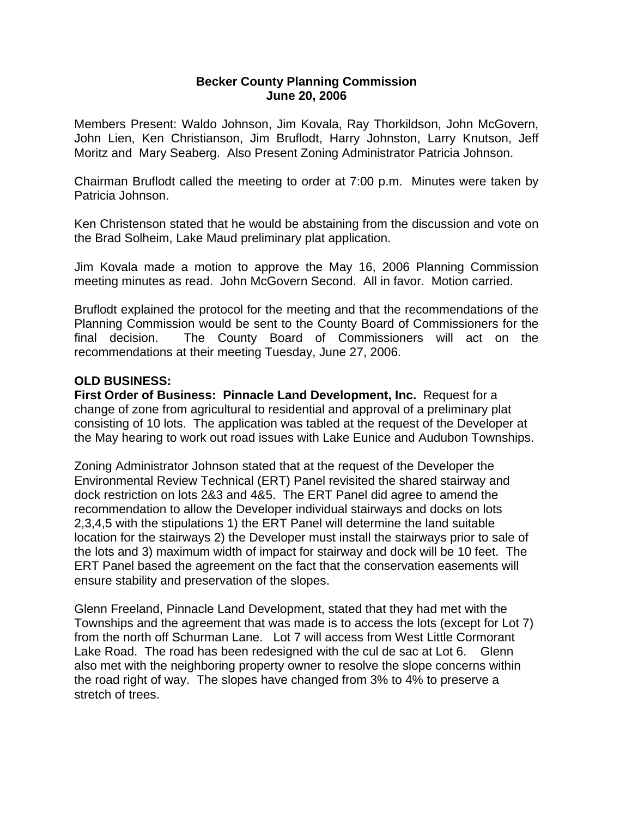## **Becker County Planning Commission June 20, 2006**

Members Present: Waldo Johnson, Jim Kovala, Ray Thorkildson, John McGovern, John Lien, Ken Christianson, Jim Bruflodt, Harry Johnston, Larry Knutson, Jeff Moritz and Mary Seaberg. Also Present Zoning Administrator Patricia Johnson.

Chairman Bruflodt called the meeting to order at 7:00 p.m. Minutes were taken by Patricia Johnson.

Ken Christenson stated that he would be abstaining from the discussion and vote on the Brad Solheim, Lake Maud preliminary plat application.

Jim Kovala made a motion to approve the May 16, 2006 Planning Commission meeting minutes as read. John McGovern Second. All in favor. Motion carried.

Bruflodt explained the protocol for the meeting and that the recommendations of the Planning Commission would be sent to the County Board of Commissioners for the final decision. The County Board of Commissioners will act on the recommendations at their meeting Tuesday, June 27, 2006.

## **OLD BUSINESS:**

**First Order of Business: Pinnacle Land Development, Inc.** Request for a change of zone from agricultural to residential and approval of a preliminary plat consisting of 10 lots. The application was tabled at the request of the Developer at the May hearing to work out road issues with Lake Eunice and Audubon Townships.

Zoning Administrator Johnson stated that at the request of the Developer the Environmental Review Technical (ERT) Panel revisited the shared stairway and dock restriction on lots 2&3 and 4&5. The ERT Panel did agree to amend the recommendation to allow the Developer individual stairways and docks on lots 2,3,4,5 with the stipulations 1) the ERT Panel will determine the land suitable location for the stairways 2) the Developer must install the stairways prior to sale of the lots and 3) maximum width of impact for stairway and dock will be 10 feet. The ERT Panel based the agreement on the fact that the conservation easements will ensure stability and preservation of the slopes.

Glenn Freeland, Pinnacle Land Development, stated that they had met with the Townships and the agreement that was made is to access the lots (except for Lot 7) from the north off Schurman Lane. Lot 7 will access from West Little Cormorant Lake Road. The road has been redesigned with the cul de sac at Lot 6. Glenn also met with the neighboring property owner to resolve the slope concerns within the road right of way. The slopes have changed from 3% to 4% to preserve a stretch of trees.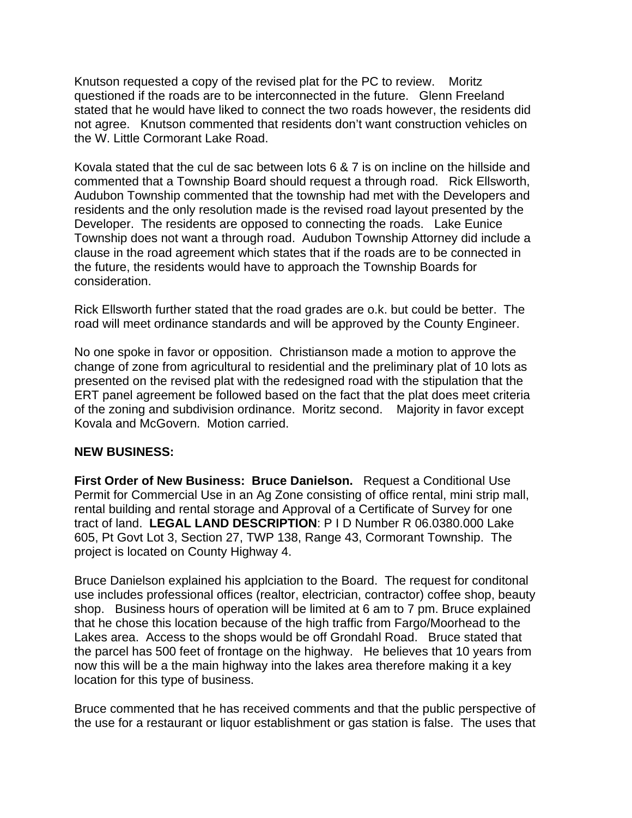Knutson requested a copy of the revised plat for the PC to review. Moritz questioned if the roads are to be interconnected in the future. Glenn Freeland stated that he would have liked to connect the two roads however, the residents did not agree. Knutson commented that residents don't want construction vehicles on the W. Little Cormorant Lake Road.

Kovala stated that the cul de sac between lots 6 & 7 is on incline on the hillside and commented that a Township Board should request a through road. Rick Ellsworth, Audubon Township commented that the township had met with the Developers and residents and the only resolution made is the revised road layout presented by the Developer. The residents are opposed to connecting the roads. Lake Eunice Township does not want a through road. Audubon Township Attorney did include a clause in the road agreement which states that if the roads are to be connected in the future, the residents would have to approach the Township Boards for consideration.

Rick Ellsworth further stated that the road grades are o.k. but could be better. The road will meet ordinance standards and will be approved by the County Engineer.

No one spoke in favor or opposition. Christianson made a motion to approve the change of zone from agricultural to residential and the preliminary plat of 10 lots as presented on the revised plat with the redesigned road with the stipulation that the ERT panel agreement be followed based on the fact that the plat does meet criteria of the zoning and subdivision ordinance. Moritz second. Majority in favor except Kovala and McGovern. Motion carried.

## **NEW BUSINESS:**

**First Order of New Business: Bruce Danielson.** Request a Conditional Use Permit for Commercial Use in an Ag Zone consisting of office rental, mini strip mall, rental building and rental storage and Approval of a Certificate of Survey for one tract of land. **LEGAL LAND DESCRIPTION**: P I D Number R 06.0380.000 Lake 605, Pt Govt Lot 3, Section 27, TWP 138, Range 43, Cormorant Township. The project is located on County Highway 4.

Bruce Danielson explained his applciation to the Board. The request for conditonal use includes professional offices (realtor, electrician, contractor) coffee shop, beauty shop. Business hours of operation will be limited at 6 am to 7 pm. Bruce explained that he chose this location because of the high traffic from Fargo/Moorhead to the Lakes area. Access to the shops would be off Grondahl Road. Bruce stated that the parcel has 500 feet of frontage on the highway. He believes that 10 years from now this will be a the main highway into the lakes area therefore making it a key location for this type of business.

Bruce commented that he has received comments and that the public perspective of the use for a restaurant or liquor establishment or gas station is false. The uses that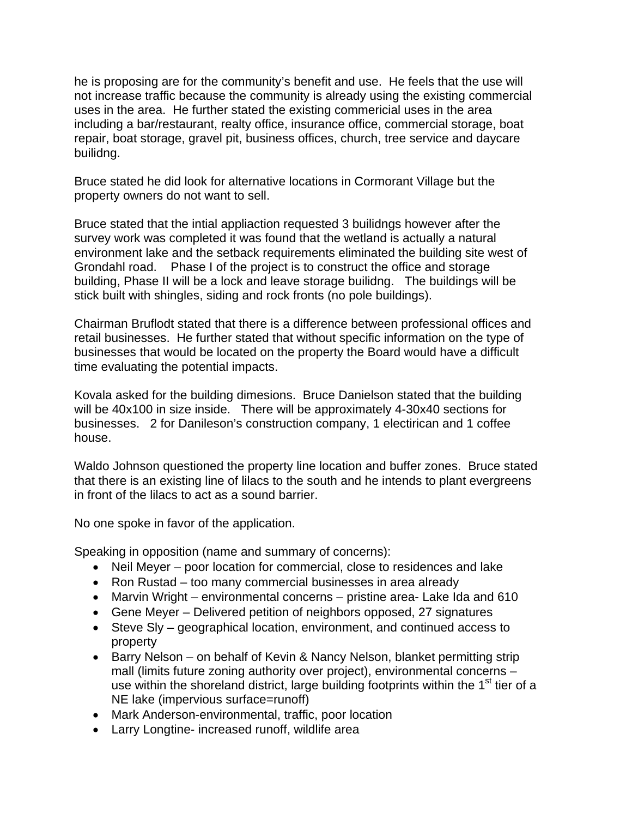he is proposing are for the community's benefit and use. He feels that the use will not increase traffic because the community is already using the existing commercial uses in the area. He further stated the existing commericial uses in the area including a bar/restaurant, realty office, insurance office, commercial storage, boat repair, boat storage, gravel pit, business offices, church, tree service and daycare builidng.

Bruce stated he did look for alternative locations in Cormorant Village but the property owners do not want to sell.

Bruce stated that the intial appliaction requested 3 builidngs however after the survey work was completed it was found that the wetland is actually a natural environment lake and the setback requirements eliminated the building site west of Grondahl road. Phase I of the project is to construct the office and storage building, Phase II will be a lock and leave storage builidng. The buildings will be stick built with shingles, siding and rock fronts (no pole buildings).

Chairman Bruflodt stated that there is a difference between professional offices and retail businesses. He further stated that without specific information on the type of businesses that would be located on the property the Board would have a difficult time evaluating the potential impacts.

Kovala asked for the building dimesions. Bruce Danielson stated that the building will be 40x100 in size inside. There will be approximately 4-30x40 sections for businesses. 2 for Danileson's construction company, 1 electirican and 1 coffee house.

Waldo Johnson questioned the property line location and buffer zones. Bruce stated that there is an existing line of lilacs to the south and he intends to plant evergreens in front of the lilacs to act as a sound barrier.

No one spoke in favor of the application.

Speaking in opposition (name and summary of concerns):

- Neil Meyer poor location for commercial, close to residences and lake
- Ron Rustad too many commercial businesses in area already
- Marvin Wright environmental concerns pristine area- Lake Ida and 610
- Gene Meyer Delivered petition of neighbors opposed, 27 signatures
- Steve SIy geographical location, environment, and continued access to property
- Barry Nelson on behalf of Kevin & Nancy Nelson, blanket permitting strip mall (limits future zoning authority over project), environmental concerns – use within the shoreland district, large building footprints within the  $1<sup>st</sup>$  tier of a NE lake (impervious surface=runoff)
- Mark Anderson-environmental, traffic, poor location
- Larry Longtine- increased runoff, wildlife area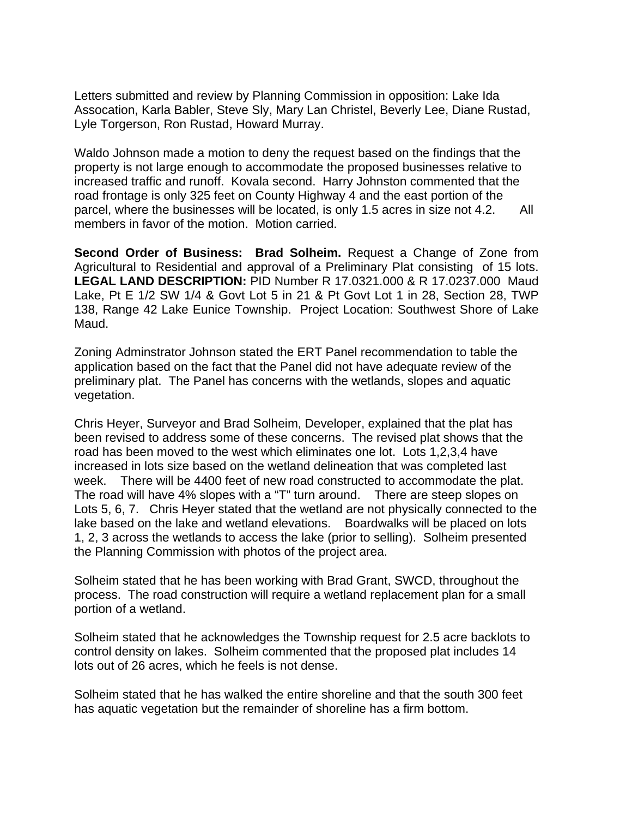Letters submitted and review by Planning Commission in opposition: Lake Ida Assocation, Karla Babler, Steve Sly, Mary Lan Christel, Beverly Lee, Diane Rustad, Lyle Torgerson, Ron Rustad, Howard Murray.

Waldo Johnson made a motion to deny the request based on the findings that the property is not large enough to accommodate the proposed businesses relative to increased traffic and runoff. Kovala second. Harry Johnston commented that the road frontage is only 325 feet on County Highway 4 and the east portion of the parcel, where the businesses will be located, is only 1.5 acres in size not 4.2. All members in favor of the motion. Motion carried.

**Second Order of Business: Brad Solheim.** Request a Change of Zone from Agricultural to Residential and approval of a Preliminary Plat consisting of 15 lots. **LEGAL LAND DESCRIPTION:** PID Number R 17.0321.000 & R 17.0237.000 Maud Lake, Pt E 1/2 SW 1/4 & Govt Lot 5 in 21 & Pt Govt Lot 1 in 28, Section 28, TWP 138, Range 42 Lake Eunice Township. Project Location: Southwest Shore of Lake Maud.

Zoning Adminstrator Johnson stated the ERT Panel recommendation to table the application based on the fact that the Panel did not have adequate review of the preliminary plat. The Panel has concerns with the wetlands, slopes and aquatic vegetation.

Chris Heyer, Surveyor and Brad Solheim, Developer, explained that the plat has been revised to address some of these concerns. The revised plat shows that the road has been moved to the west which eliminates one lot. Lots 1,2,3,4 have increased in lots size based on the wetland delineation that was completed last week. There will be 4400 feet of new road constructed to accommodate the plat. The road will have 4% slopes with a "T" turn around. There are steep slopes on Lots 5, 6, 7. Chris Heyer stated that the wetland are not physically connected to the lake based on the lake and wetland elevations. Boardwalks will be placed on lots 1, 2, 3 across the wetlands to access the lake (prior to selling). Solheim presented the Planning Commission with photos of the project area.

Solheim stated that he has been working with Brad Grant, SWCD, throughout the process. The road construction will require a wetland replacement plan for a small portion of a wetland.

Solheim stated that he acknowledges the Township request for 2.5 acre backlots to control density on lakes. Solheim commented that the proposed plat includes 14 lots out of 26 acres, which he feels is not dense.

Solheim stated that he has walked the entire shoreline and that the south 300 feet has aquatic vegetation but the remainder of shoreline has a firm bottom.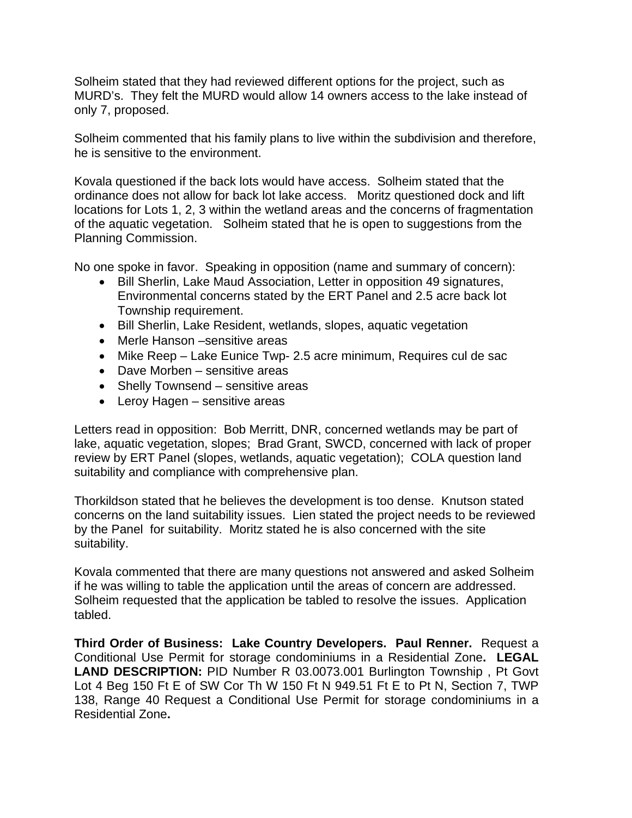Solheim stated that they had reviewed different options for the project, such as MURD's. They felt the MURD would allow 14 owners access to the lake instead of only 7, proposed.

Solheim commented that his family plans to live within the subdivision and therefore, he is sensitive to the environment.

Kovala questioned if the back lots would have access. Solheim stated that the ordinance does not allow for back lot lake access. Moritz questioned dock and lift locations for Lots 1, 2, 3 within the wetland areas and the concerns of fragmentation of the aquatic vegetation. Solheim stated that he is open to suggestions from the Planning Commission.

No one spoke in favor. Speaking in opposition (name and summary of concern):

- Bill Sherlin, Lake Maud Association, Letter in opposition 49 signatures, Environmental concerns stated by the ERT Panel and 2.5 acre back lot Township requirement.
- Bill Sherlin, Lake Resident, wetlands, slopes, aquatic vegetation
- Merle Hanson –sensitive areas
- Mike Reep Lake Eunice Twp- 2.5 acre minimum, Requires cul de sac
- Dave Morben sensitive areas
- Shelly Townsend sensitive areas
- Leroy Hagen sensitive areas

Letters read in opposition: Bob Merritt, DNR, concerned wetlands may be part of lake, aquatic vegetation, slopes; Brad Grant, SWCD, concerned with lack of proper review by ERT Panel (slopes, wetlands, aquatic vegetation); COLA question land suitability and compliance with comprehensive plan.

Thorkildson stated that he believes the development is too dense. Knutson stated concerns on the land suitability issues. Lien stated the project needs to be reviewed by the Panel for suitability. Moritz stated he is also concerned with the site suitability.

Kovala commented that there are many questions not answered and asked Solheim if he was willing to table the application until the areas of concern are addressed. Solheim requested that the application be tabled to resolve the issues. Application tabled.

**Third Order of Business: Lake Country Developers. Paul Renner.** Request a Conditional Use Permit for storage condominiums in a Residential Zone**. LEGAL LAND DESCRIPTION:** PID Number R 03.0073.001 Burlington Township , Pt Govt Lot 4 Beg 150 Ft E of SW Cor Th W 150 Ft N 949.51 Ft E to Pt N, Section 7, TWP 138, Range 40 Request a Conditional Use Permit for storage condominiums in a Residential Zone**.**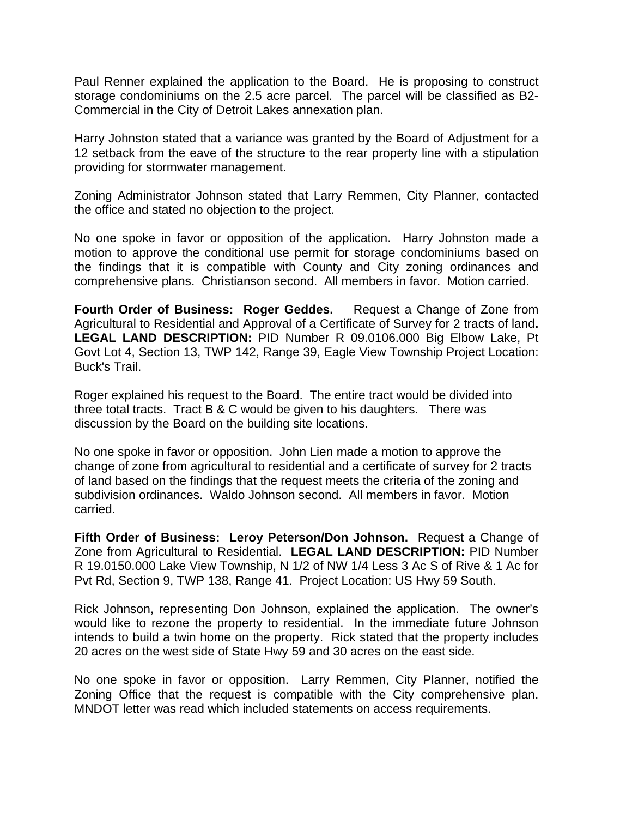Paul Renner explained the application to the Board. He is proposing to construct storage condominiums on the 2.5 acre parcel. The parcel will be classified as B2- Commercial in the City of Detroit Lakes annexation plan.

Harry Johnston stated that a variance was granted by the Board of Adjustment for a 12 setback from the eave of the structure to the rear property line with a stipulation providing for stormwater management.

Zoning Administrator Johnson stated that Larry Remmen, City Planner, contacted the office and stated no objection to the project.

No one spoke in favor or opposition of the application. Harry Johnston made a motion to approve the conditional use permit for storage condominiums based on the findings that it is compatible with County and City zoning ordinances and comprehensive plans. Christianson second. All members in favor. Motion carried.

**Fourth Order of Business: Roger Geddes.** Request a Change of Zone from Agricultural to Residential and Approval of a Certificate of Survey for 2 tracts of land**. LEGAL LAND DESCRIPTION:** PID Number R 09.0106.000 Big Elbow Lake, Pt Govt Lot 4, Section 13, TWP 142, Range 39, Eagle View Township Project Location: Buck's Trail.

Roger explained his request to the Board. The entire tract would be divided into three total tracts. Tract B & C would be given to his daughters. There was discussion by the Board on the building site locations.

No one spoke in favor or opposition. John Lien made a motion to approve the change of zone from agricultural to residential and a certificate of survey for 2 tracts of land based on the findings that the request meets the criteria of the zoning and subdivision ordinances. Waldo Johnson second. All members in favor. Motion carried.

**Fifth Order of Business: Leroy Peterson/Don Johnson.** Request a Change of Zone from Agricultural to Residential. **LEGAL LAND DESCRIPTION:** PID Number R 19.0150.000 Lake View Township, N 1/2 of NW 1/4 Less 3 Ac S of Rive & 1 Ac for Pvt Rd, Section 9, TWP 138, Range 41. Project Location: US Hwy 59 South.

Rick Johnson, representing Don Johnson, explained the application. The owner's would like to rezone the property to residential. In the immediate future Johnson intends to build a twin home on the property. Rick stated that the property includes 20 acres on the west side of State Hwy 59 and 30 acres on the east side.

No one spoke in favor or opposition. Larry Remmen, City Planner, notified the Zoning Office that the request is compatible with the City comprehensive plan. MNDOT letter was read which included statements on access requirements.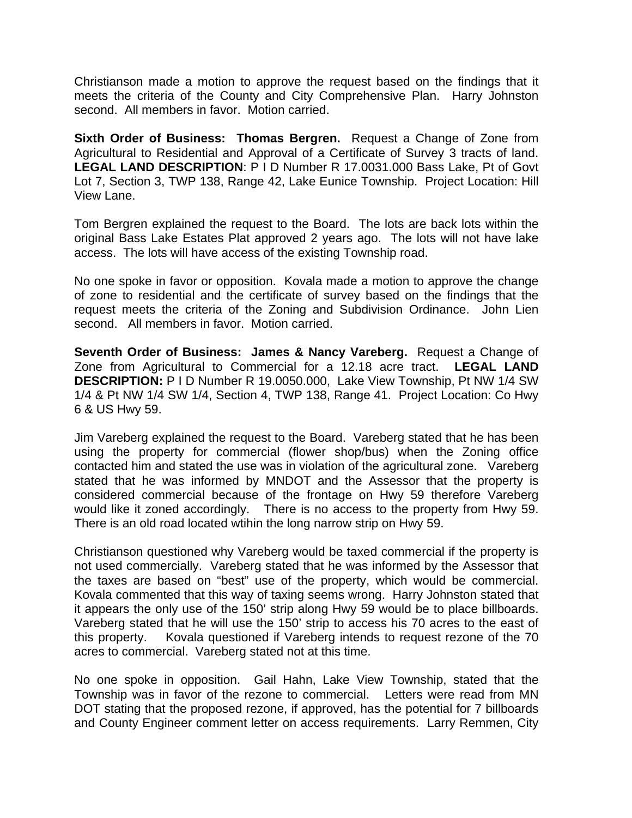Christianson made a motion to approve the request based on the findings that it meets the criteria of the County and City Comprehensive Plan. Harry Johnston second. All members in favor. Motion carried.

**Sixth Order of Business: Thomas Bergren.** Request a Change of Zone from Agricultural to Residential and Approval of a Certificate of Survey 3 tracts of land. **LEGAL LAND DESCRIPTION**: P I D Number R 17.0031.000 Bass Lake, Pt of Govt Lot 7, Section 3, TWP 138, Range 42, Lake Eunice Township. Project Location: Hill View Lane.

Tom Bergren explained the request to the Board. The lots are back lots within the original Bass Lake Estates Plat approved 2 years ago. The lots will not have lake access. The lots will have access of the existing Township road.

No one spoke in favor or opposition. Kovala made a motion to approve the change of zone to residential and the certificate of survey based on the findings that the request meets the criteria of the Zoning and Subdivision Ordinance. John Lien second. All members in favor. Motion carried.

**Seventh Order of Business: James & Nancy Vareberg.** Request a Change of Zone from Agricultural to Commercial for a 12.18 acre tract. **LEGAL LAND DESCRIPTION:** P I D Number R 19.0050.000, Lake View Township, Pt NW 1/4 SW 1/4 & Pt NW 1/4 SW 1/4, Section 4, TWP 138, Range 41. Project Location: Co Hwy 6 & US Hwy 59.

Jim Vareberg explained the request to the Board. Vareberg stated that he has been using the property for commercial (flower shop/bus) when the Zoning office contacted him and stated the use was in violation of the agricultural zone. Vareberg stated that he was informed by MNDOT and the Assessor that the property is considered commercial because of the frontage on Hwy 59 therefore Vareberg would like it zoned accordingly. There is no access to the property from Hwy 59. There is an old road located wtihin the long narrow strip on Hwy 59.

Christianson questioned why Vareberg would be taxed commercial if the property is not used commercially. Vareberg stated that he was informed by the Assessor that the taxes are based on "best" use of the property, which would be commercial. Kovala commented that this way of taxing seems wrong. Harry Johnston stated that it appears the only use of the 150' strip along Hwy 59 would be to place billboards. Vareberg stated that he will use the 150' strip to access his 70 acres to the east of this property. Kovala questioned if Vareberg intends to request rezone of the 70 acres to commercial. Vareberg stated not at this time.

No one spoke in opposition. Gail Hahn, Lake View Township, stated that the Township was in favor of the rezone to commercial. Letters were read from MN DOT stating that the proposed rezone, if approved, has the potential for 7 billboards and County Engineer comment letter on access requirements. Larry Remmen, City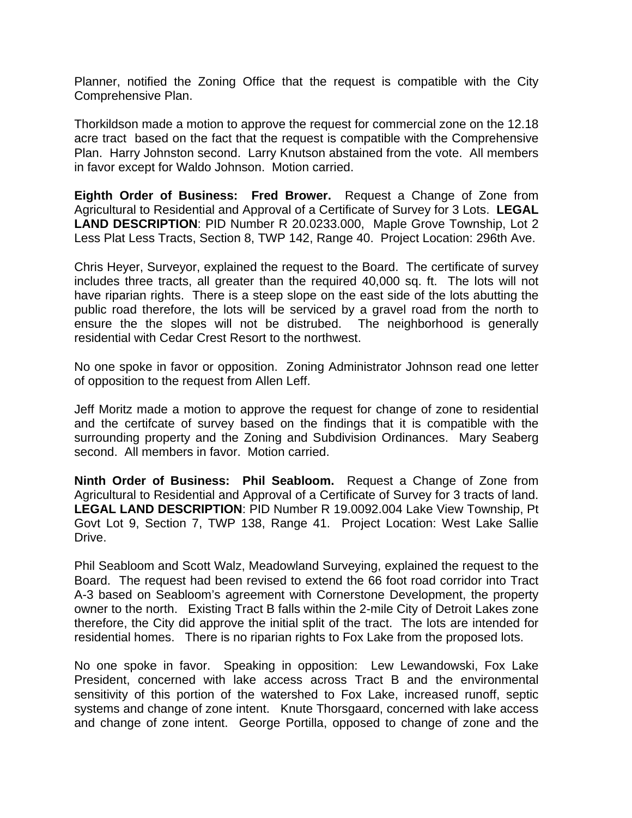Planner, notified the Zoning Office that the request is compatible with the City Comprehensive Plan.

Thorkildson made a motion to approve the request for commercial zone on the 12.18 acre tract based on the fact that the request is compatible with the Comprehensive Plan. Harry Johnston second. Larry Knutson abstained from the vote. All members in favor except for Waldo Johnson. Motion carried.

**Eighth Order of Business: Fred Brower.** Request a Change of Zone from Agricultural to Residential and Approval of a Certificate of Survey for 3 Lots. **LEGAL LAND DESCRIPTION**: PID Number R 20.0233.000, Maple Grove Township, Lot 2 Less Plat Less Tracts, Section 8, TWP 142, Range 40. Project Location: 296th Ave.

Chris Heyer, Surveyor, explained the request to the Board. The certificate of survey includes three tracts, all greater than the required 40,000 sq. ft. The lots will not have riparian rights. There is a steep slope on the east side of the lots abutting the public road therefore, the lots will be serviced by a gravel road from the north to ensure the the slopes will not be distrubed. The neighborhood is generally residential with Cedar Crest Resort to the northwest.

No one spoke in favor or opposition. Zoning Administrator Johnson read one letter of opposition to the request from Allen Leff.

Jeff Moritz made a motion to approve the request for change of zone to residential and the certifcate of survey based on the findings that it is compatible with the surrounding property and the Zoning and Subdivision Ordinances. Mary Seaberg second. All members in favor. Motion carried.

**Ninth Order of Business: Phil Seabloom.** Request a Change of Zone from Agricultural to Residential and Approval of a Certificate of Survey for 3 tracts of land. **LEGAL LAND DESCRIPTION**: PID Number R 19.0092.004 Lake View Township, Pt Govt Lot 9, Section 7, TWP 138, Range 41. Project Location: West Lake Sallie Drive.

Phil Seabloom and Scott Walz, Meadowland Surveying, explained the request to the Board. The request had been revised to extend the 66 foot road corridor into Tract A-3 based on Seabloom's agreement with Cornerstone Development, the property owner to the north. Existing Tract B falls within the 2-mile City of Detroit Lakes zone therefore, the City did approve the initial split of the tract. The lots are intended for residential homes. There is no riparian rights to Fox Lake from the proposed lots.

No one spoke in favor. Speaking in opposition: Lew Lewandowski, Fox Lake President, concerned with lake access across Tract B and the environmental sensitivity of this portion of the watershed to Fox Lake, increased runoff, septic systems and change of zone intent. Knute Thorsgaard, concerned with lake access and change of zone intent. George Portilla, opposed to change of zone and the